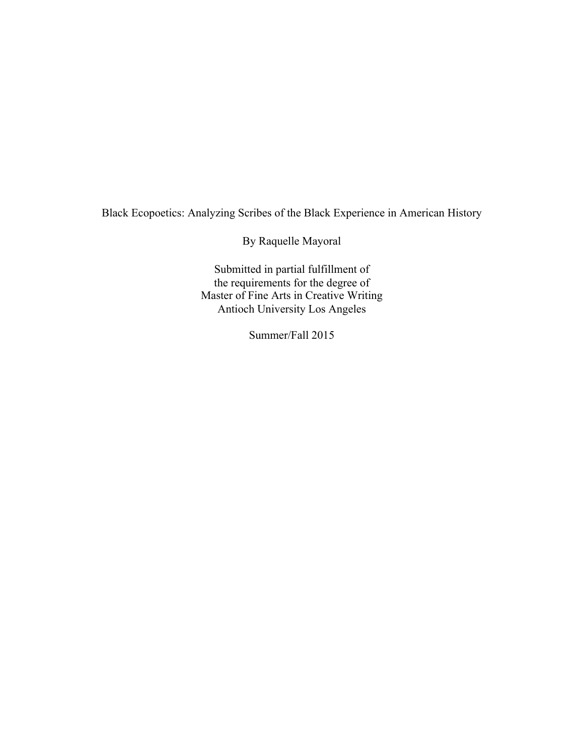Black Ecopoetics: Analyzing Scribes of the Black Experience in American History

By Raquelle Mayoral

Submitted in partial fulfillment of the requirements for the degree of Master of Fine Arts in Creative Writing Antioch University Los Angeles

Summer/Fall 2015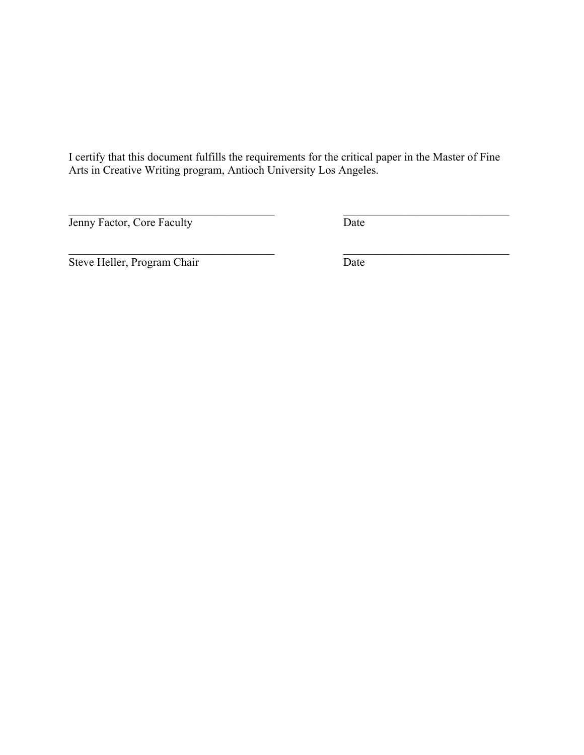I certify that this document fulfills the requirements for the critical paper in the Master of Fine Arts in Creative Writing program, Antioch University Los Angeles.

 $\mathcal{L}_\text{max} = \frac{1}{2} \sum_{i=1}^n \mathcal{L}_\text{max}(\mathbf{z}_i - \mathbf{z}_i)$ 

**Jenny Factor, Core Faculty** Date

 $\mathcal{L}_\text{max}$  , and the contribution of the contribution of the contribution of the contribution of the contribution of the contribution of the contribution of the contribution of the contribution of the contribution of t

Steve Heller, Program Chair Date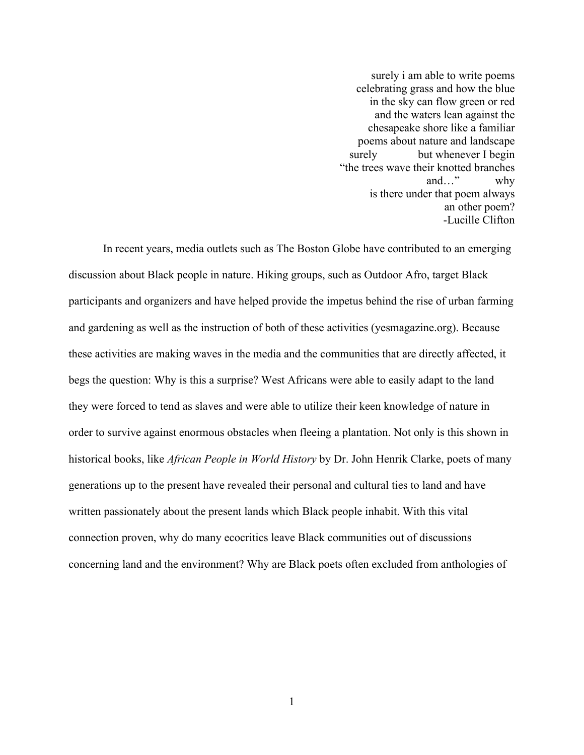surely i am able to write poems celebrating grass and how the blue in the sky can flow green or red and the waters lean against the chesapeake shore like a familiar poems about nature and landscape surely but whenever I begin "the trees wave their knotted branches and…" why is there under that poem always an other poem? -Lucille Clifton

In recent years, media outlets such as The Boston Globe have contributed to an emerging discussion about Black people in nature. Hiking groups, such as Outdoor Afro, target Black participants and organizers and have helped provide the impetus behind the rise of urban farming and gardening as well as the instruction of both of these activities (yesmagazine.org). Because these activities are making waves in the media and the communities that are directly affected, it begs the question: Why is this a surprise? West Africans were able to easily adapt to the land they were forced to tend as slaves and were able to utilize their keen knowledge of nature in order to survive against enormous obstacles when fleeing a plantation. Not only is this shown in historical books, like *African People in World History* by Dr. John Henrik Clarke, poets of many generations up to the present have revealed their personal and cultural ties to land and have written passionately about the present lands which Black people inhabit. With this vital connection proven, why do many ecocritics leave Black communities out of discussions concerning land and the environment? Why are Black poets often excluded from anthologies of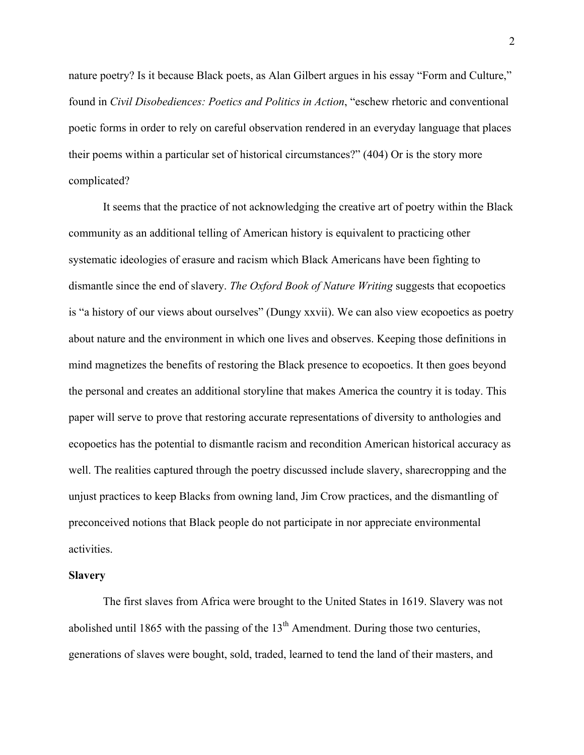nature poetry? Is it because Black poets, as Alan Gilbert argues in his essay "Form and Culture," found in *Civil Disobediences: Poetics and Politics in Action*, "eschew rhetoric and conventional poetic forms in order to rely on careful observation rendered in an everyday language that places their poems within a particular set of historical circumstances?" (404) Or is the story more complicated?

It seems that the practice of not acknowledging the creative art of poetry within the Black community as an additional telling of American history is equivalent to practicing other systematic ideologies of erasure and racism which Black Americans have been fighting to dismantle since the end of slavery. *The Oxford Book of Nature Writing* suggests that ecopoetics is "a history of our views about ourselves" (Dungy xxvii). We can also view ecopoetics as poetry about nature and the environment in which one lives and observes. Keeping those definitions in mind magnetizes the benefits of restoring the Black presence to ecopoetics. It then goes beyond the personal and creates an additional storyline that makes America the country it is today. This paper will serve to prove that restoring accurate representations of diversity to anthologies and ecopoetics has the potential to dismantle racism and recondition American historical accuracy as well. The realities captured through the poetry discussed include slavery, sharecropping and the unjust practices to keep Blacks from owning land, Jim Crow practices, and the dismantling of preconceived notions that Black people do not participate in nor appreciate environmental activities.

#### **Slavery**

The first slaves from Africa were brought to the United States in 1619. Slavery was not abolished until 1865 with the passing of the  $13<sup>th</sup>$  Amendment. During those two centuries, generations of slaves were bought, sold, traded, learned to tend the land of their masters, and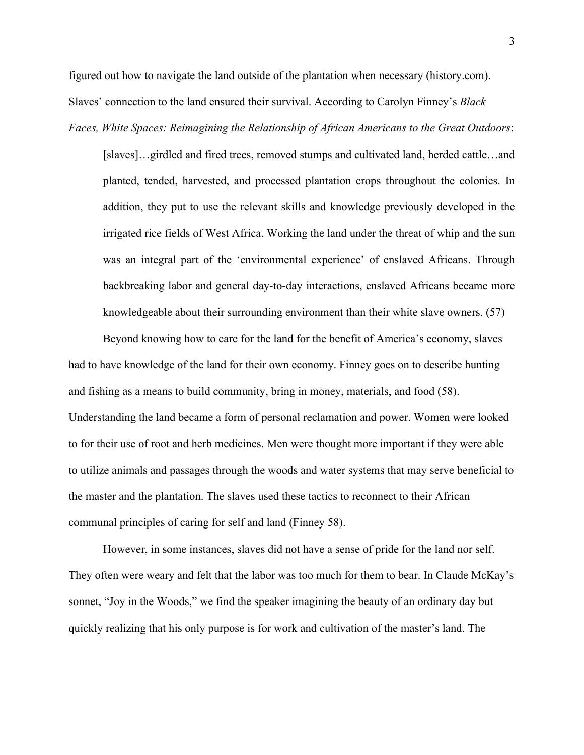figured out how to navigate the land outside of the plantation when necessary (history.com). Slaves' connection to the land ensured their survival. According to Carolyn Finney's *Black Faces, White Spaces: Reimagining the Relationship of African Americans to the Great Outdoors*:

[slaves]…girdled and fired trees, removed stumps and cultivated land, herded cattle…and planted, tended, harvested, and processed plantation crops throughout the colonies. In addition, they put to use the relevant skills and knowledge previously developed in the irrigated rice fields of West Africa. Working the land under the threat of whip and the sun was an integral part of the 'environmental experience' of enslaved Africans. Through backbreaking labor and general day-to-day interactions, enslaved Africans became more knowledgeable about their surrounding environment than their white slave owners. (57)

Beyond knowing how to care for the land for the benefit of America's economy, slaves had to have knowledge of the land for their own economy. Finney goes on to describe hunting and fishing as a means to build community, bring in money, materials, and food (58). Understanding the land became a form of personal reclamation and power. Women were looked to for their use of root and herb medicines. Men were thought more important if they were able to utilize animals and passages through the woods and water systems that may serve beneficial to the master and the plantation. The slaves used these tactics to reconnect to their African communal principles of caring for self and land (Finney 58).

However, in some instances, slaves did not have a sense of pride for the land nor self. They often were weary and felt that the labor was too much for them to bear. In Claude McKay's sonnet, "Joy in the Woods," we find the speaker imagining the beauty of an ordinary day but quickly realizing that his only purpose is for work and cultivation of the master's land. The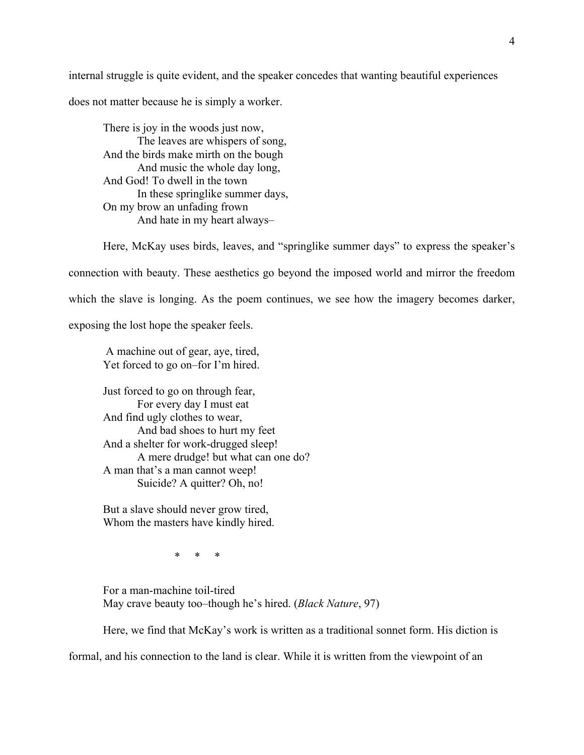internal struggle is quite evident, and the speaker concedes that wanting beautiful experiences does not matter because he is simply a worker.

There is joy in the woods just now, The leaves are whispers of song, And the birds make mirth on the bough And music the whole day long, And God! To dwell in the town In these springlike summer days, On my brow an unfading frown And hate in my heart always–

Here, McKay uses birds, leaves, and "springlike summer days" to express the speaker's connection with beauty. These aesthetics go beyond the imposed world and mirror the freedom which the slave is longing. As the poem continues, we see how the imagery becomes darker, exposing the lost hope the speaker feels.

A machine out of gear, aye, tired, Yet forced to go on–for I'm hired.

Just forced to go on through fear, For every day I must eat And find ugly clothes to wear, And bad shoes to hurt my feet And a shelter for work-drugged sleep! A mere drudge! but what can one do? A man that's a man cannot weep! Suicide? A quitter? Oh, no!

But a slave should never grow tired, Whom the masters have kindly hired.

\* \* \*

For a man-machine toil-tired May crave beauty too–though he's hired. (*Black Nature*, 97)

Here, we find that McKay's work is written as a traditional sonnet form. His diction is

formal, and his connection to the land is clear. While it is written from the viewpoint of an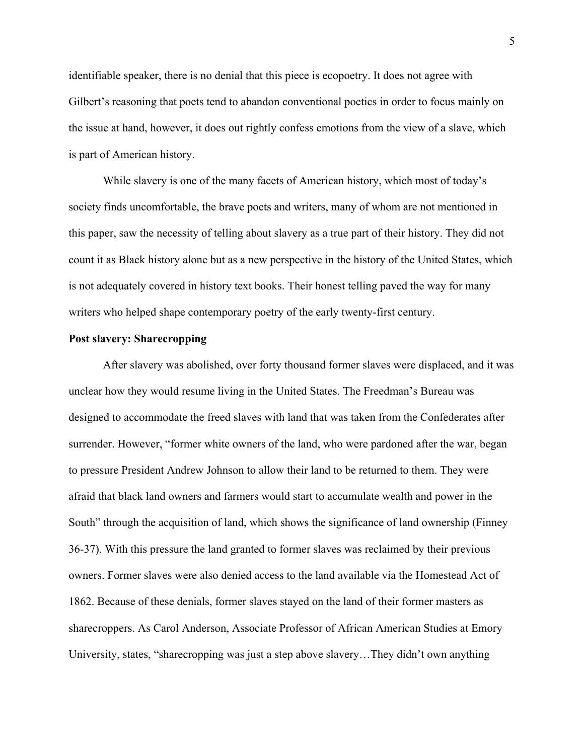identifiable speaker, there is no denial that this piece is ecopoetry. It does not agree with Gilbert's reasoning that poets tend to abandon conventional poetics in order to focus mainly on the issue at hand, however, it does out rightly confess emotions from the view of a slave, which is part of American history.

While slavery is one of the many facets of American history, which most of today's society finds uncomfortable, the brave poets and writers, many of whom are not mentioned in this paper, saw the necessity of telling about slavery as a true part of their history. They did not count it as Black history alone but as a new perspective in the history of the United States, which is not adequately covered in history text books. Their honest telling paved the way for many writers who helped shape contemporary poetry of the early twenty-first century.

## **Post slavery: Sharecropping**

After slavery was abolished, over forty thousand former slaves were displaced, and it was unclear how they would resume living in the United States. The Freedman's Bureau was designed to accommodate the freed slaves with land that was taken from the Confederates after surrender. However, "former white owners of the land, who were pardoned after the war, began to pressure President Andrew Johnson to allow their land to be returned to them. They were afraid that black land owners and farmers would start to accumulate wealth and power in the South" through the acquisition of land, which shows the significance of land ownership (Finney 36-37). With this pressure the land granted to former slaves was reclaimed by their previous owners. Former slaves were also denied access to the land available via the Homestead Act of 1862. Because of these denials, former slaves stayed on the land of their former masters as sharecroppers. As Carol Anderson, Associate Professor of African American Studies at Emory University, states, "sharecropping was just a step above slavery…They didn't own anything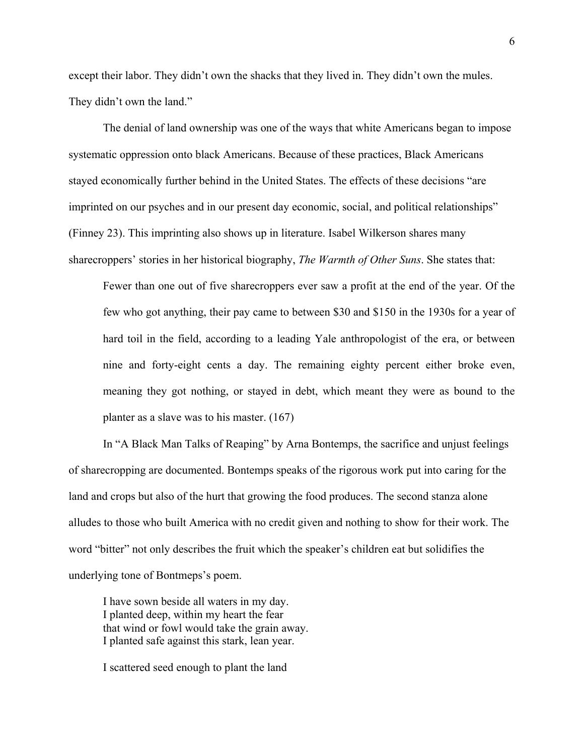except their labor. They didn't own the shacks that they lived in. They didn't own the mules. They didn't own the land."

The denial of land ownership was one of the ways that white Americans began to impose systematic oppression onto black Americans. Because of these practices, Black Americans stayed economically further behind in the United States. The effects of these decisions "are imprinted on our psyches and in our present day economic, social, and political relationships" (Finney 23). This imprinting also shows up in literature. Isabel Wilkerson shares many sharecroppers' stories in her historical biography, *The Warmth of Other Suns*. She states that:

Fewer than one out of five sharecroppers ever saw a profit at the end of the year. Of the few who got anything, their pay came to between \$30 and \$150 in the 1930s for a year of hard toil in the field, according to a leading Yale anthropologist of the era, or between nine and forty-eight cents a day. The remaining eighty percent either broke even, meaning they got nothing, or stayed in debt, which meant they were as bound to the planter as a slave was to his master. (167)

In "A Black Man Talks of Reaping" by Arna Bontemps, the sacrifice and unjust feelings of sharecropping are documented. Bontemps speaks of the rigorous work put into caring for the land and crops but also of the hurt that growing the food produces. The second stanza alone alludes to those who built America with no credit given and nothing to show for their work. The word "bitter" not only describes the fruit which the speaker's children eat but solidifies the underlying tone of Bontmeps's poem.

I have sown beside all waters in my day. I planted deep, within my heart the fear that wind or fowl would take the grain away. I planted safe against this stark, lean year.

I scattered seed enough to plant the land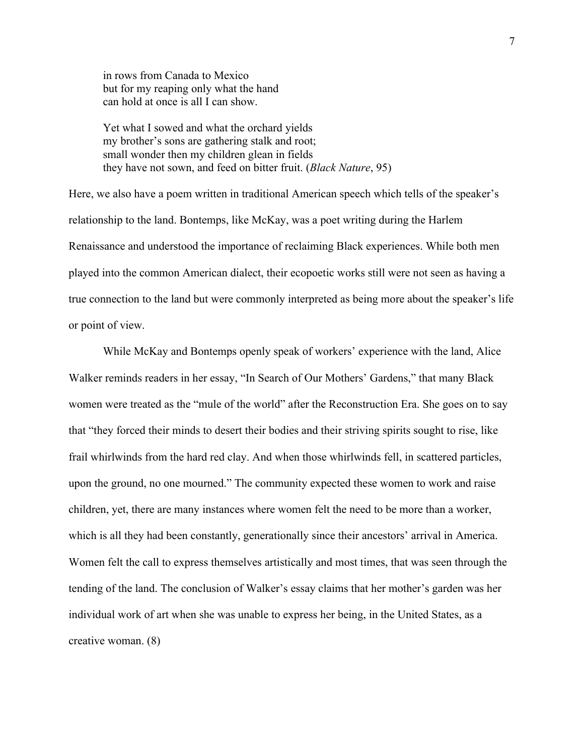in rows from Canada to Mexico but for my reaping only what the hand can hold at once is all I can show.

Yet what I sowed and what the orchard yields my brother's sons are gathering stalk and root; small wonder then my children glean in fields they have not sown, and feed on bitter fruit. (*Black Nature*, 95)

Here, we also have a poem written in traditional American speech which tells of the speaker's relationship to the land. Bontemps, like McKay, was a poet writing during the Harlem Renaissance and understood the importance of reclaiming Black experiences. While both men played into the common American dialect, their ecopoetic works still were not seen as having a true connection to the land but were commonly interpreted as being more about the speaker's life or point of view.

While McKay and Bontemps openly speak of workers' experience with the land, Alice Walker reminds readers in her essay, "In Search of Our Mothers' Gardens," that many Black women were treated as the "mule of the world" after the Reconstruction Era. She goes on to say that "they forced their minds to desert their bodies and their striving spirits sought to rise, like frail whirlwinds from the hard red clay. And when those whirlwinds fell, in scattered particles, upon the ground, no one mourned." The community expected these women to work and raise children, yet, there are many instances where women felt the need to be more than a worker, which is all they had been constantly, generationally since their ancestors' arrival in America. Women felt the call to express themselves artistically and most times, that was seen through the tending of the land. The conclusion of Walker's essay claims that her mother's garden was her individual work of art when she was unable to express her being, in the United States, as a creative woman. (8)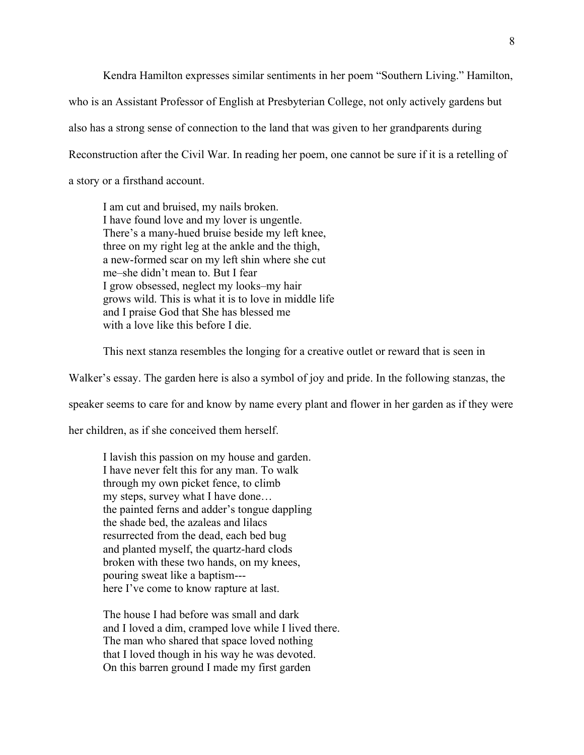Kendra Hamilton expresses similar sentiments in her poem "Southern Living." Hamilton, who is an Assistant Professor of English at Presbyterian College, not only actively gardens but also has a strong sense of connection to the land that was given to her grandparents during Reconstruction after the Civil War. In reading her poem, one cannot be sure if it is a retelling of a story or a firsthand account.

I am cut and bruised, my nails broken. I have found love and my lover is ungentle. There's a many-hued bruise beside my left knee, three on my right leg at the ankle and the thigh, a new-formed scar on my left shin where she cut me–she didn't mean to. But I fear I grow obsessed, neglect my looks–my hair grows wild. This is what it is to love in middle life and I praise God that She has blessed me with a love like this before I die.

This next stanza resembles the longing for a creative outlet or reward that is seen in

Walker's essay. The garden here is also a symbol of joy and pride. In the following stanzas, the

speaker seems to care for and know by name every plant and flower in her garden as if they were

her children, as if she conceived them herself.

I lavish this passion on my house and garden. I have never felt this for any man. To walk through my own picket fence, to climb my steps, survey what I have done… the painted ferns and adder's tongue dappling the shade bed, the azaleas and lilacs resurrected from the dead, each bed bug and planted myself, the quartz-hard clods broken with these two hands, on my knees, pouring sweat like a baptism-- here I've come to know rapture at last.

The house I had before was small and dark and I loved a dim, cramped love while I lived there. The man who shared that space loved nothing that I loved though in his way he was devoted. On this barren ground I made my first garden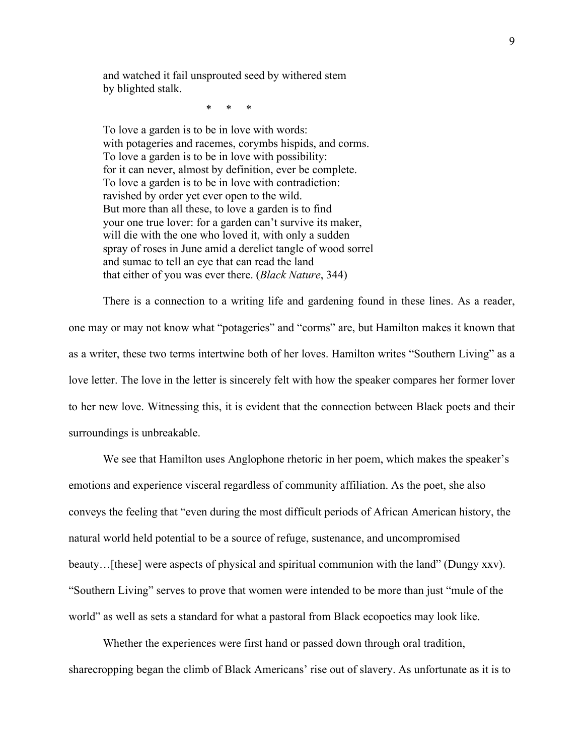and watched it fail unsprouted seed by withered stem by blighted stalk.

\* \* \*

To love a garden is to be in love with words: with potageries and racemes, corymbs hispids, and corms. To love a garden is to be in love with possibility: for it can never, almost by definition, ever be complete. To love a garden is to be in love with contradiction: ravished by order yet ever open to the wild. But more than all these, to love a garden is to find your one true lover: for a garden can't survive its maker, will die with the one who loved it, with only a sudden spray of roses in June amid a derelict tangle of wood sorrel and sumac to tell an eye that can read the land that either of you was ever there. (*Black Nature*, 344)

There is a connection to a writing life and gardening found in these lines. As a reader, one may or may not know what "potageries" and "corms" are, but Hamilton makes it known that as a writer, these two terms intertwine both of her loves. Hamilton writes "Southern Living" as a love letter. The love in the letter is sincerely felt with how the speaker compares her former lover to her new love. Witnessing this, it is evident that the connection between Black poets and their surroundings is unbreakable.

We see that Hamilton uses Anglophone rhetoric in her poem, which makes the speaker's emotions and experience visceral regardless of community affiliation. As the poet, she also conveys the feeling that "even during the most difficult periods of African American history, the natural world held potential to be a source of refuge, sustenance, and uncompromised beauty...[these] were aspects of physical and spiritual communion with the land" (Dungy xxv). "Southern Living" serves to prove that women were intended to be more than just "mule of the world" as well as sets a standard for what a pastoral from Black ecopoetics may look like.

Whether the experiences were first hand or passed down through oral tradition, sharecropping began the climb of Black Americans' rise out of slavery. As unfortunate as it is to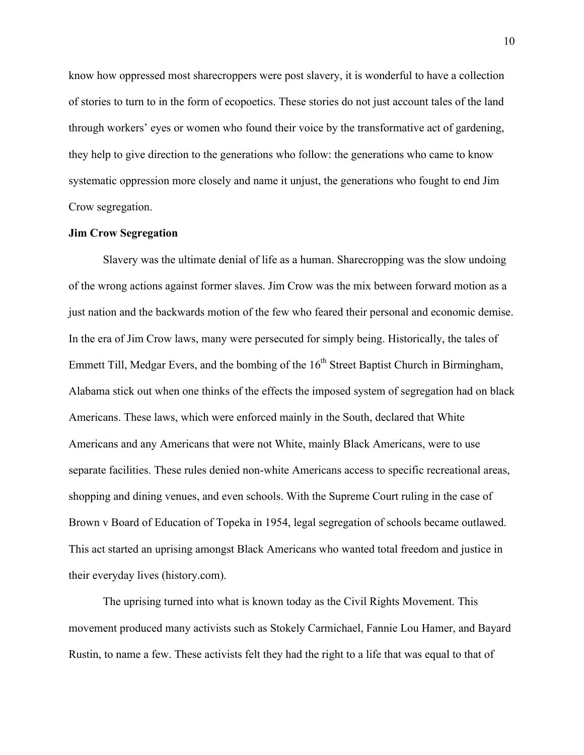know how oppressed most sharecroppers were post slavery, it is wonderful to have a collection of stories to turn to in the form of ecopoetics. These stories do not just account tales of the land through workers' eyes or women who found their voice by the transformative act of gardening, they help to give direction to the generations who follow: the generations who came to know systematic oppression more closely and name it unjust, the generations who fought to end Jim Crow segregation.

## **Jim Crow Segregation**

Slavery was the ultimate denial of life as a human. Sharecropping was the slow undoing of the wrong actions against former slaves. Jim Crow was the mix between forward motion as a just nation and the backwards motion of the few who feared their personal and economic demise. In the era of Jim Crow laws, many were persecuted for simply being. Historically, the tales of Emmett Till, Medgar Evers, and the bombing of the  $16<sup>th</sup>$  Street Baptist Church in Birmingham, Alabama stick out when one thinks of the effects the imposed system of segregation had on black Americans. These laws, which were enforced mainly in the South, declared that White Americans and any Americans that were not White, mainly Black Americans, were to use separate facilities. These rules denied non-white Americans access to specific recreational areas, shopping and dining venues, and even schools. With the Supreme Court ruling in the case of Brown v Board of Education of Topeka in 1954, legal segregation of schools became outlawed. This act started an uprising amongst Black Americans who wanted total freedom and justice in their everyday lives (history.com).

The uprising turned into what is known today as the Civil Rights Movement. This movement produced many activists such as Stokely Carmichael, Fannie Lou Hamer, and Bayard Rustin, to name a few. These activists felt they had the right to a life that was equal to that of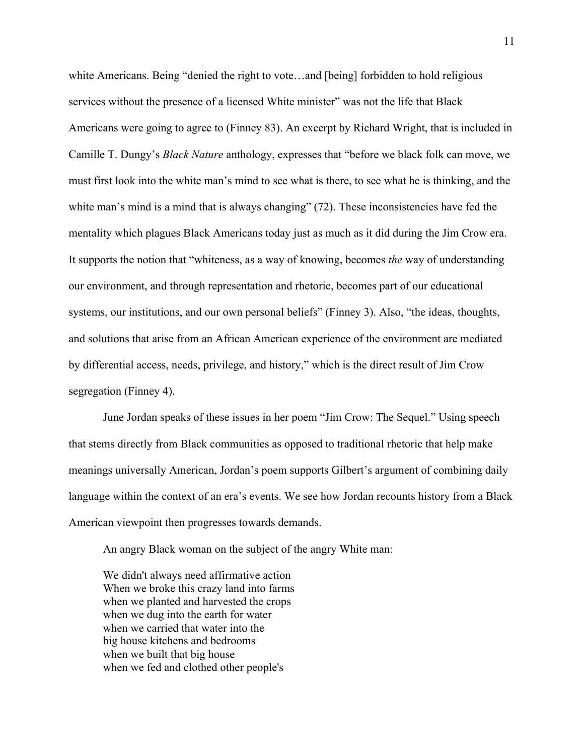white Americans. Being "denied the right to vote…and [being] forbidden to hold religious services without the presence of a licensed White minister" was not the life that Black Americans were going to agree to (Finney 83). An excerpt by Richard Wright, that is included in Camille T. Dungy's *Black Nature* anthology, expresses that "before we black folk can move, we must first look into the white man's mind to see what is there, to see what he is thinking, and the white man's mind is a mind that is always changing" (72). These inconsistencies have fed the mentality which plagues Black Americans today just as much as it did during the Jim Crow era. It supports the notion that "whiteness, as a way of knowing, becomes *the* way of understanding our environment, and through representation and rhetoric, becomes part of our educational systems, our institutions, and our own personal beliefs" (Finney 3). Also, "the ideas, thoughts, and solutions that arise from an African American experience of the environment are mediated by differential access, needs, privilege, and history," which is the direct result of Jim Crow segregation (Finney 4).

June Jordan speaks of these issues in her poem "Jim Crow: The Sequel." Using speech that stems directly from Black communities as opposed to traditional rhetoric that help make meanings universally American, Jordan's poem supports Gilbert's argument of combining daily language within the context of an era's events. We see how Jordan recounts history from a Black American viewpoint then progresses towards demands.

An angry Black woman on the subject of the angry White man:

We didn't always need affirmative action When we broke this crazy land into farms when we planted and harvested the crops when we dug into the earth for water when we carried that water into the big house kitchens and bedrooms when we built that big house when we fed and clothed other people's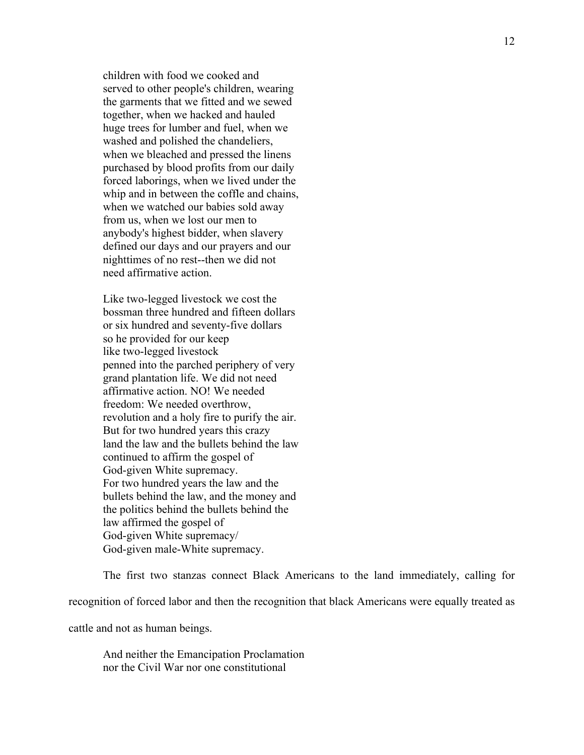children with food we cooked and served to other people's children, wearing the garments that we fitted and we sewed together, when we hacked and hauled huge trees for lumber and fuel, when we washed and polished the chandeliers, when we bleached and pressed the linens purchased by blood profits from our daily forced laborings, when we lived under the whip and in between the coffle and chains, when we watched our babies sold away from us, when we lost our men to anybody's highest bidder, when slavery defined our days and our prayers and our nighttimes of no rest--then we did not need affirmative action.

Like two-legged livestock we cost the bossman three hundred and fifteen dollars or six hundred and seventy-five dollars so he provided for our keep like two-legged livestock penned into the parched periphery of very grand plantation life. We did not need affirmative action. NO! We needed freedom: We needed overthrow, revolution and a holy fire to purify the air. But for two hundred years this crazy land the law and the bullets behind the law continued to affirm the gospel of God-given White supremacy. For two hundred years the law and the bullets behind the law, and the money and the politics behind the bullets behind the law affirmed the gospel of God-given White supremacy/ God-given male-White supremacy.

The first two stanzas connect Black Americans to the land immediately, calling for recognition of forced labor and then the recognition that black Americans were equally treated as

cattle and not as human beings.

And neither the Emancipation Proclamation nor the Civil War nor one constitutional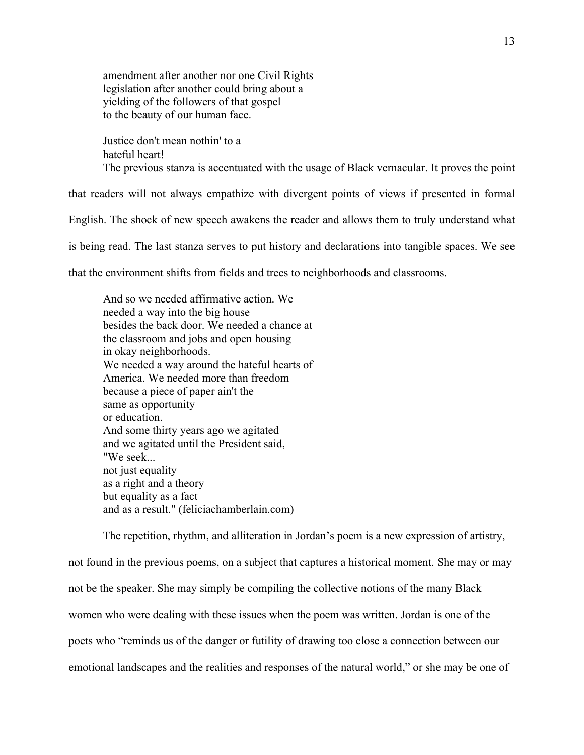amendment after another nor one Civil Rights legislation after another could bring about a yielding of the followers of that gospel to the beauty of our human face.

Justice don't mean nothin' to a hateful heart! The previous stanza is accentuated with the usage of Black vernacular. It proves the point

that readers will not always empathize with divergent points of views if presented in formal

English. The shock of new speech awakens the reader and allows them to truly understand what

is being read. The last stanza serves to put history and declarations into tangible spaces. We see

that the environment shifts from fields and trees to neighborhoods and classrooms.

And so we needed affirmative action. We needed a way into the big house besides the back door. We needed a chance at the classroom and jobs and open housing in okay neighborhoods. We needed a way around the hateful hearts of America. We needed more than freedom because a piece of paper ain't the same as opportunity or education. And some thirty years ago we agitated and we agitated until the President said, "We seek... not just equality as a right and a theory but equality as a fact and as a result." (feliciachamberlain.com)

The repetition, rhythm, and alliteration in Jordan's poem is a new expression of artistry, not found in the previous poems, on a subject that captures a historical moment. She may or may not be the speaker. She may simply be compiling the collective notions of the many Black women who were dealing with these issues when the poem was written. Jordan is one of the poets who "reminds us of the danger or futility of drawing too close a connection between our emotional landscapes and the realities and responses of the natural world," or she may be one of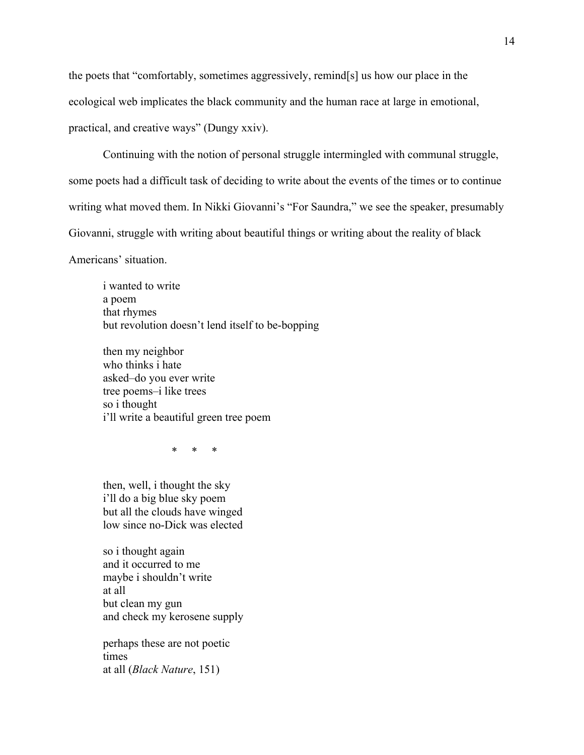the poets that "comfortably, sometimes aggressively, remind[s] us how our place in the ecological web implicates the black community and the human race at large in emotional, practical, and creative ways" (Dungy xxiv).

Continuing with the notion of personal struggle intermingled with communal struggle, some poets had a difficult task of deciding to write about the events of the times or to continue writing what moved them. In Nikki Giovanni's "For Saundra," we see the speaker, presumably Giovanni, struggle with writing about beautiful things or writing about the reality of black Americans' situation.

i wanted to write a poem that rhymes but revolution doesn't lend itself to be-bopping

then my neighbor who thinks i hate asked–do you ever write tree poems–i like trees so i thought i'll write a beautiful green tree poem

\* \* \*

then, well, i thought the sky i'll do a big blue sky poem but all the clouds have winged low since no-Dick was elected

so i thought again and it occurred to me maybe i shouldn't write at all but clean my gun and check my kerosene supply

perhaps these are not poetic times at all (*Black Nature*, 151)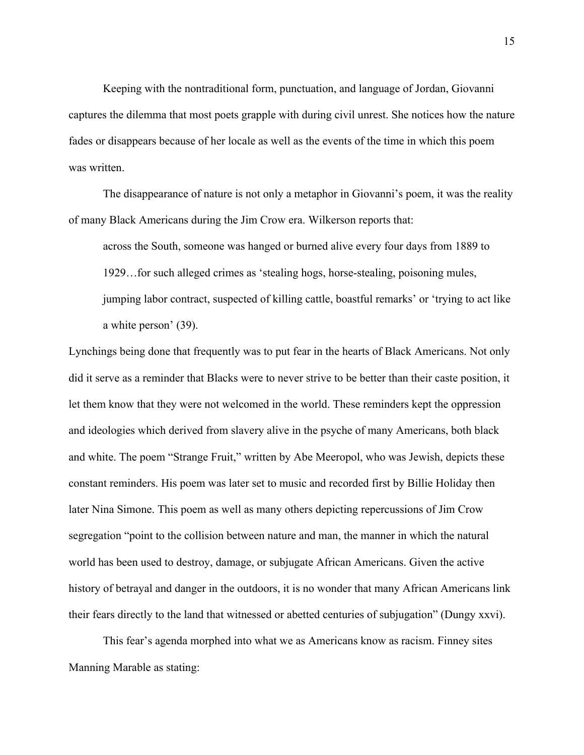Keeping with the nontraditional form, punctuation, and language of Jordan, Giovanni captures the dilemma that most poets grapple with during civil unrest. She notices how the nature fades or disappears because of her locale as well as the events of the time in which this poem was written.

The disappearance of nature is not only a metaphor in Giovanni's poem, it was the reality of many Black Americans during the Jim Crow era. Wilkerson reports that:

across the South, someone was hanged or burned alive every four days from 1889 to 1929…for such alleged crimes as 'stealing hogs, horse-stealing, poisoning mules, jumping labor contract, suspected of killing cattle, boastful remarks' or 'trying to act like a white person' (39).

Lynchings being done that frequently was to put fear in the hearts of Black Americans. Not only did it serve as a reminder that Blacks were to never strive to be better than their caste position, it let them know that they were not welcomed in the world. These reminders kept the oppression and ideologies which derived from slavery alive in the psyche of many Americans, both black and white. The poem "Strange Fruit," written by Abe Meeropol, who was Jewish, depicts these constant reminders. His poem was later set to music and recorded first by Billie Holiday then later Nina Simone. This poem as well as many others depicting repercussions of Jim Crow segregation "point to the collision between nature and man, the manner in which the natural world has been used to destroy, damage, or subjugate African Americans. Given the active history of betrayal and danger in the outdoors, it is no wonder that many African Americans link their fears directly to the land that witnessed or abetted centuries of subjugation" (Dungy xxvi).

This fear's agenda morphed into what we as Americans know as racism. Finney sites Manning Marable as stating: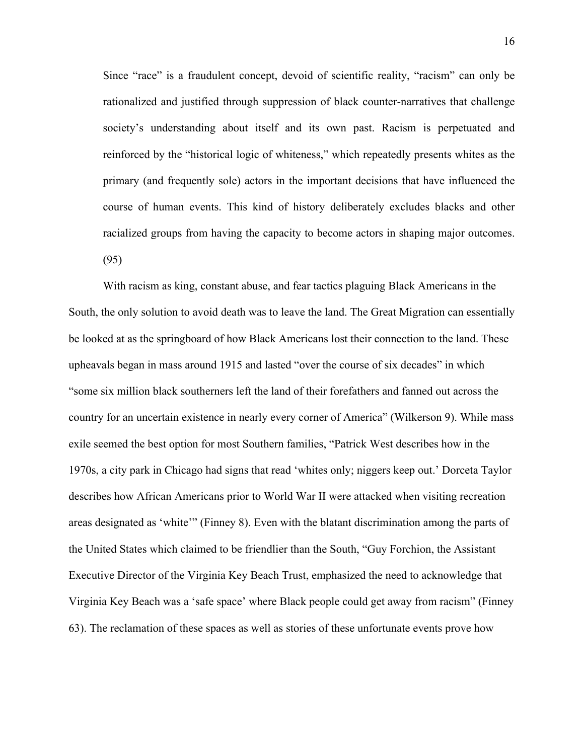Since "race" is a fraudulent concept, devoid of scientific reality, "racism" can only be rationalized and justified through suppression of black counter-narratives that challenge society's understanding about itself and its own past. Racism is perpetuated and reinforced by the "historical logic of whiteness," which repeatedly presents whites as the primary (and frequently sole) actors in the important decisions that have influenced the course of human events. This kind of history deliberately excludes blacks and other racialized groups from having the capacity to become actors in shaping major outcomes. (95)

With racism as king, constant abuse, and fear tactics plaguing Black Americans in the South, the only solution to avoid death was to leave the land. The Great Migration can essentially be looked at as the springboard of how Black Americans lost their connection to the land. These upheavals began in mass around 1915 and lasted "over the course of six decades" in which "some six million black southerners left the land of their forefathers and fanned out across the country for an uncertain existence in nearly every corner of America" (Wilkerson 9). While mass exile seemed the best option for most Southern families, "Patrick West describes how in the 1970s, a city park in Chicago had signs that read 'whites only; niggers keep out.' Dorceta Taylor describes how African Americans prior to World War II were attacked when visiting recreation areas designated as 'white'" (Finney 8). Even with the blatant discrimination among the parts of the United States which claimed to be friendlier than the South, "Guy Forchion, the Assistant Executive Director of the Virginia Key Beach Trust, emphasized the need to acknowledge that Virginia Key Beach was a 'safe space' where Black people could get away from racism" (Finney 63). The reclamation of these spaces as well as stories of these unfortunate events prove how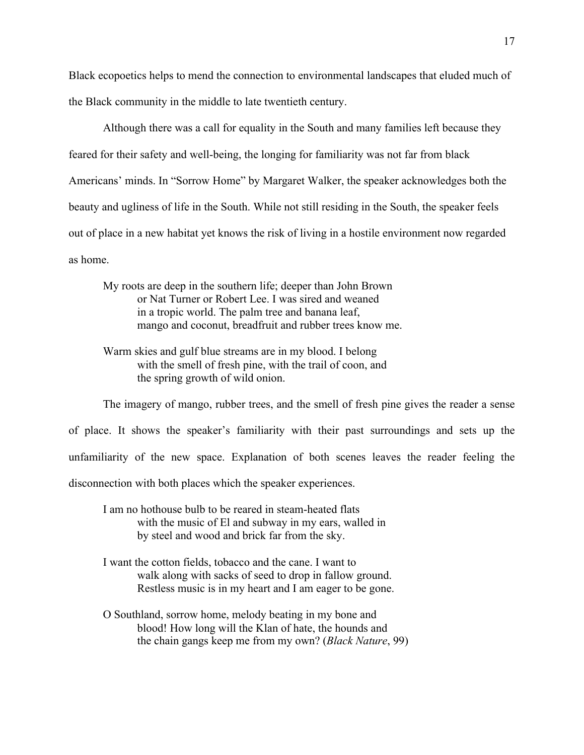Black ecopoetics helps to mend the connection to environmental landscapes that eluded much of the Black community in the middle to late twentieth century.

Although there was a call for equality in the South and many families left because they feared for their safety and well-being, the longing for familiarity was not far from black Americans' minds. In "Sorrow Home" by Margaret Walker, the speaker acknowledges both the beauty and ugliness of life in the South. While not still residing in the South, the speaker feels out of place in a new habitat yet knows the risk of living in a hostile environment now regarded as home.

My roots are deep in the southern life; deeper than John Brown or Nat Turner or Robert Lee. I was sired and weaned in a tropic world. The palm tree and banana leaf, mango and coconut, breadfruit and rubber trees know me.

Warm skies and gulf blue streams are in my blood. I belong with the smell of fresh pine, with the trail of coon, and the spring growth of wild onion.

The imagery of mango, rubber trees, and the smell of fresh pine gives the reader a sense of place. It shows the speaker's familiarity with their past surroundings and sets up the unfamiliarity of the new space. Explanation of both scenes leaves the reader feeling the disconnection with both places which the speaker experiences.

I am no hothouse bulb to be reared in steam-heated flats with the music of El and subway in my ears, walled in by steel and wood and brick far from the sky.

- I want the cotton fields, tobacco and the cane. I want to walk along with sacks of seed to drop in fallow ground. Restless music is in my heart and I am eager to be gone.
- O Southland, sorrow home, melody beating in my bone and blood! How long will the Klan of hate, the hounds and the chain gangs keep me from my own? (*Black Nature*, 99)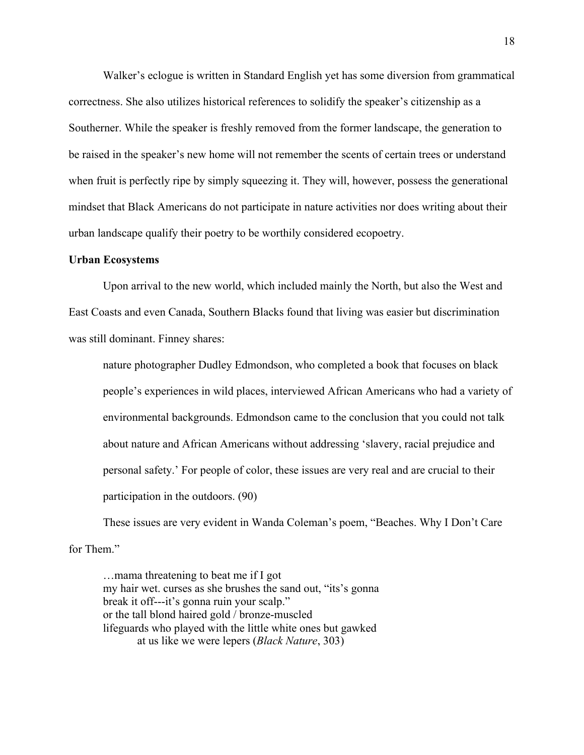Walker's eclogue is written in Standard English yet has some diversion from grammatical correctness. She also utilizes historical references to solidify the speaker's citizenship as a Southerner. While the speaker is freshly removed from the former landscape, the generation to be raised in the speaker's new home will not remember the scents of certain trees or understand when fruit is perfectly ripe by simply squeezing it. They will, however, possess the generational mindset that Black Americans do not participate in nature activities nor does writing about their urban landscape qualify their poetry to be worthily considered ecopoetry.

#### **Urban Ecosystems**

Upon arrival to the new world, which included mainly the North, but also the West and East Coasts and even Canada, Southern Blacks found that living was easier but discrimination was still dominant. Finney shares:

nature photographer Dudley Edmondson, who completed a book that focuses on black people's experiences in wild places, interviewed African Americans who had a variety of environmental backgrounds. Edmondson came to the conclusion that you could not talk about nature and African Americans without addressing 'slavery, racial prejudice and personal safety.' For people of color, these issues are very real and are crucial to their participation in the outdoors. (90)

These issues are very evident in Wanda Coleman's poem, "Beaches. Why I Don't Care for Them"

…mama threatening to beat me if I got my hair wet. curses as she brushes the sand out, "its's gonna break it off---it's gonna ruin your scalp." or the tall blond haired gold / bronze-muscled lifeguards who played with the little white ones but gawked at us like we were lepers (*Black Nature*, 303)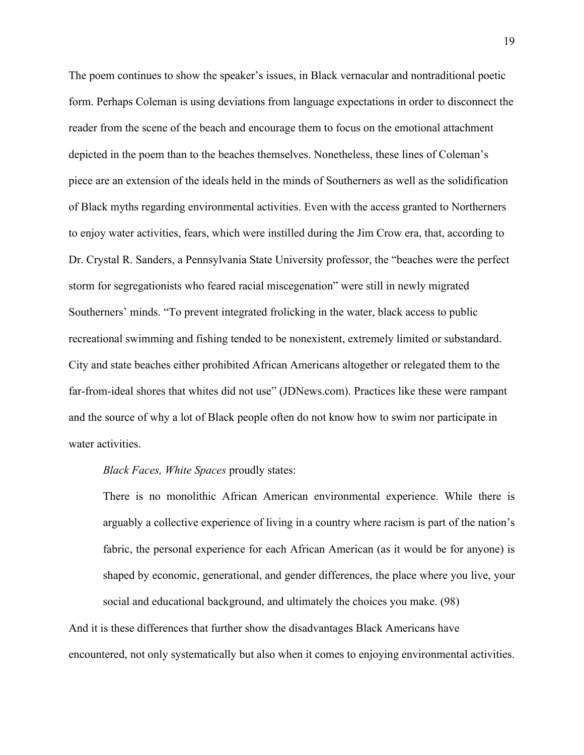The poem continues to show the speaker's issues, in Black vernacular and nontraditional poetic form. Perhaps Coleman is using deviations from language expectations in order to disconnect the reader from the scene of the beach and encourage them to focus on the emotional attachment depicted in the poem than to the beaches themselves. Nonetheless, these lines of Coleman's piece are an extension of the ideals held in the minds of Southerners as well as the solidification of Black myths regarding environmental activities. Even with the access granted to Northerners to enjoy water activities, fears, which were instilled during the Jim Crow era, that, according to Dr. Crystal R. Sanders, a Pennsylvania State University professor, the "beaches were the perfect storm for segregationists who feared racial miscegenation" were still in newly migrated Southerners' minds. "To prevent integrated frolicking in the water, black access to public recreational swimming and fishing tended to be nonexistent, extremely limited or substandard. City and state beaches either prohibited African Americans altogether or relegated them to the far-from-ideal shores that whites did not use" (JDNews.com). Practices like these were rampant and the source of why a lot of Black people often do not know how to swim nor participate in water activities.

*Black Faces, White Spaces* proudly states:

There is no monolithic African American environmental experience. While there is arguably a collective experience of living in a country where racism is part of the nation's fabric, the personal experience for each African American (as it would be for anyone) is shaped by economic, generational, and gender differences, the place where you live, your social and educational background, and ultimately the choices you make. (98)

And it is these differences that further show the disadvantages Black Americans have encountered, not only systematically but also when it comes to enjoying environmental activities.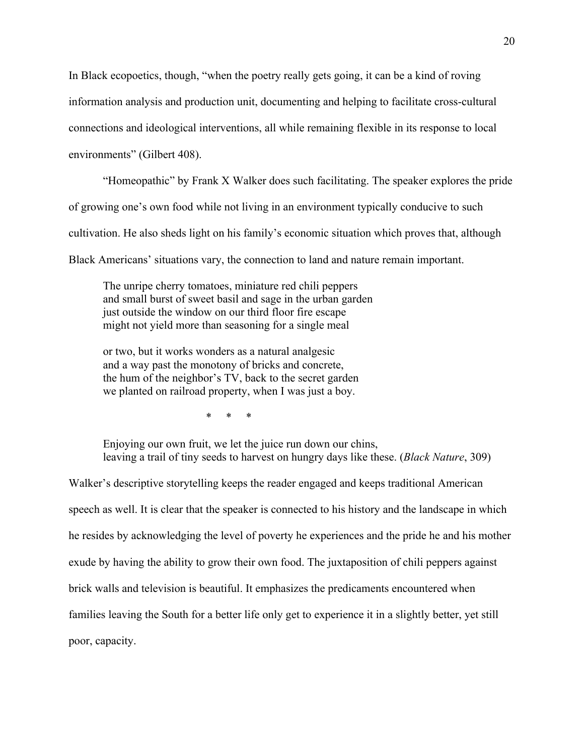In Black ecopoetics, though, "when the poetry really gets going, it can be a kind of roving information analysis and production unit, documenting and helping to facilitate cross-cultural connections and ideological interventions, all while remaining flexible in its response to local environments" (Gilbert 408).

"Homeopathic" by Frank X Walker does such facilitating. The speaker explores the pride of growing one's own food while not living in an environment typically conducive to such cultivation. He also sheds light on his family's economic situation which proves that, although Black Americans' situations vary, the connection to land and nature remain important.

The unripe cherry tomatoes, miniature red chili peppers and small burst of sweet basil and sage in the urban garden just outside the window on our third floor fire escape might not yield more than seasoning for a single meal

or two, but it works wonders as a natural analgesic and a way past the monotony of bricks and concrete, the hum of the neighbor's TV, back to the secret garden we planted on railroad property, when I was just a boy.

\* \* \*

Enjoying our own fruit, we let the juice run down our chins, leaving a trail of tiny seeds to harvest on hungry days like these. (*Black Nature*, 309)

Walker's descriptive storytelling keeps the reader engaged and keeps traditional American speech as well. It is clear that the speaker is connected to his history and the landscape in which he resides by acknowledging the level of poverty he experiences and the pride he and his mother exude by having the ability to grow their own food. The juxtaposition of chili peppers against brick walls and television is beautiful. It emphasizes the predicaments encountered when families leaving the South for a better life only get to experience it in a slightly better, yet still poor, capacity.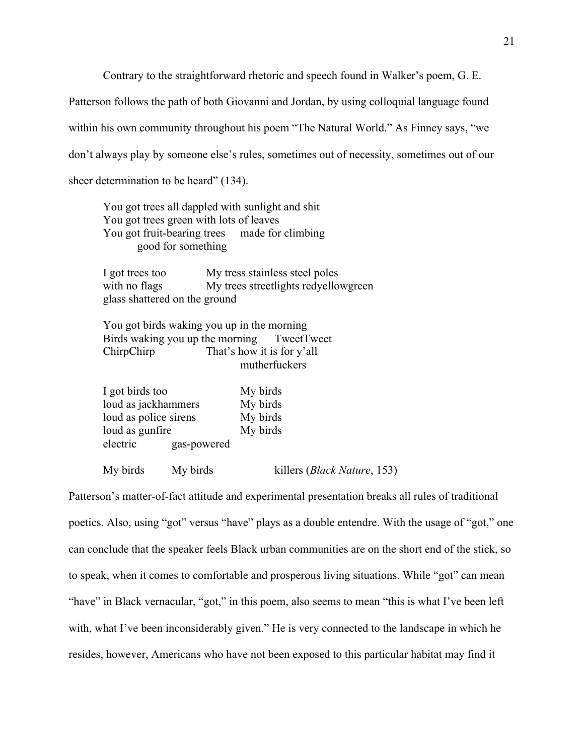Contrary to the straightforward rhetoric and speech found in Walker's poem, G. E.

Patterson follows the path of both Giovanni and Jordan, by using colloquial language found within his own community throughout his poem "The Natural World." As Finney says, "we don't always play by someone else's rules, sometimes out of necessity, sometimes out of our sheer determination to be heard" (134).

You got trees all dappled with sunlight and shit You got trees green with lots of leaves You got fruit-bearing trees made for climbing good for something

I got trees too My tress stainless steel poles with no flags My trees streetlights redyellowgreen glass shattered on the ground

You got birds waking you up in the morning Birds waking you up the morning TweetTweet ChirpChirp That's how it is for y'all mutherfuckers

| I got birds too       |             | My birds |  |
|-----------------------|-------------|----------|--|
| loud as jackhammers   |             | My birds |  |
| loud as police sirens |             | My birds |  |
| loud as gunfire       |             | My birds |  |
| electric              | gas-powered |          |  |
|                       |             |          |  |

My birds My birds killers (*Black Nature*, 153)

Patterson's matter-of-fact attitude and experimental presentation breaks all rules of traditional poetics. Also, using "got" versus "have" plays as a double entendre. With the usage of "got," one can conclude that the speaker feels Black urban communities are on the short end of the stick, so to speak, when it comes to comfortable and prosperous living situations. While "got" can mean "have" in Black vernacular, "got," in this poem, also seems to mean "this is what I've been left with, what I've been inconsiderably given." He is very connected to the landscape in which he resides, however, Americans who have not been exposed to this particular habitat may find it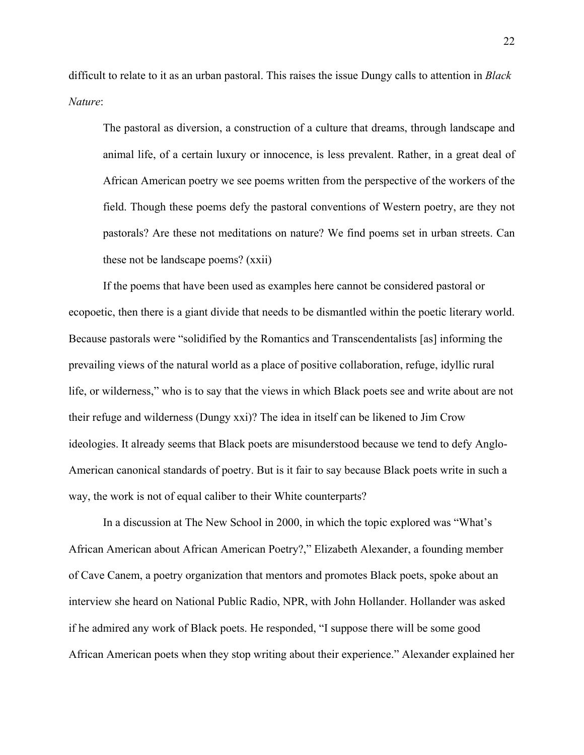difficult to relate to it as an urban pastoral. This raises the issue Dungy calls to attention in *Black Nature*:

The pastoral as diversion, a construction of a culture that dreams, through landscape and animal life, of a certain luxury or innocence, is less prevalent. Rather, in a great deal of African American poetry we see poems written from the perspective of the workers of the field. Though these poems defy the pastoral conventions of Western poetry, are they not pastorals? Are these not meditations on nature? We find poems set in urban streets. Can these not be landscape poems? (xxii)

If the poems that have been used as examples here cannot be considered pastoral or ecopoetic, then there is a giant divide that needs to be dismantled within the poetic literary world. Because pastorals were "solidified by the Romantics and Transcendentalists [as] informing the prevailing views of the natural world as a place of positive collaboration, refuge, idyllic rural life, or wilderness," who is to say that the views in which Black poets see and write about are not their refuge and wilderness (Dungy xxi)? The idea in itself can be likened to Jim Crow ideologies. It already seems that Black poets are misunderstood because we tend to defy Anglo-American canonical standards of poetry. But is it fair to say because Black poets write in such a way, the work is not of equal caliber to their White counterparts?

In a discussion at The New School in 2000, in which the topic explored was "What's African American about African American Poetry?," Elizabeth Alexander, a founding member of Cave Canem, a poetry organization that mentors and promotes Black poets, spoke about an interview she heard on National Public Radio, NPR, with John Hollander. Hollander was asked if he admired any work of Black poets. He responded, "I suppose there will be some good African American poets when they stop writing about their experience." Alexander explained her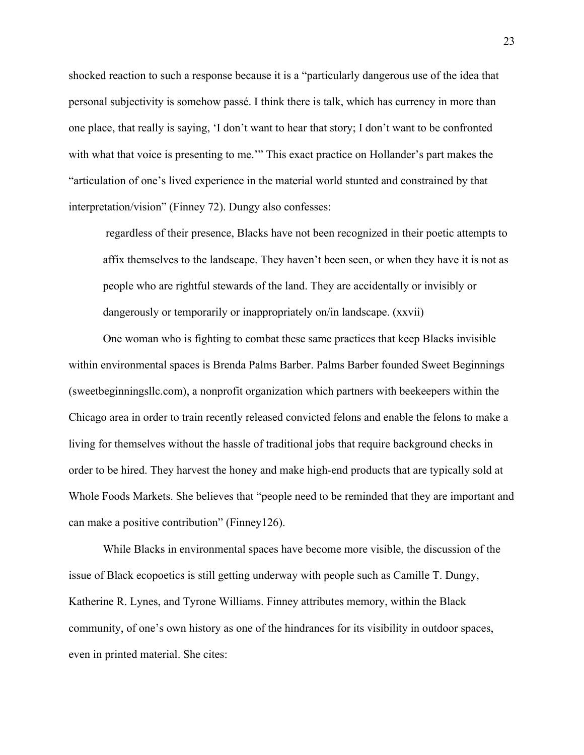shocked reaction to such a response because it is a "particularly dangerous use of the idea that personal subjectivity is somehow passé. I think there is talk, which has currency in more than one place, that really is saying, 'I don't want to hear that story; I don't want to be confronted with what that voice is presenting to me.'" This exact practice on Hollander's part makes the "articulation of one's lived experience in the material world stunted and constrained by that interpretation/vision" (Finney 72). Dungy also confesses:

regardless of their presence, Blacks have not been recognized in their poetic attempts to affix themselves to the landscape. They haven't been seen, or when they have it is not as people who are rightful stewards of the land. They are accidentally or invisibly or dangerously or temporarily or inappropriately on/in landscape. (xxvii)

One woman who is fighting to combat these same practices that keep Blacks invisible within environmental spaces is Brenda Palms Barber. Palms Barber founded Sweet Beginnings (sweetbeginningsllc.com), a nonprofit organization which partners with beekeepers within the Chicago area in order to train recently released convicted felons and enable the felons to make a living for themselves without the hassle of traditional jobs that require background checks in order to be hired. They harvest the honey and make high-end products that are typically sold at Whole Foods Markets. She believes that "people need to be reminded that they are important and can make a positive contribution" (Finney126).

While Blacks in environmental spaces have become more visible, the discussion of the issue of Black ecopoetics is still getting underway with people such as Camille T. Dungy, Katherine R. Lynes, and Tyrone Williams. Finney attributes memory, within the Black community, of one's own history as one of the hindrances for its visibility in outdoor spaces, even in printed material. She cites: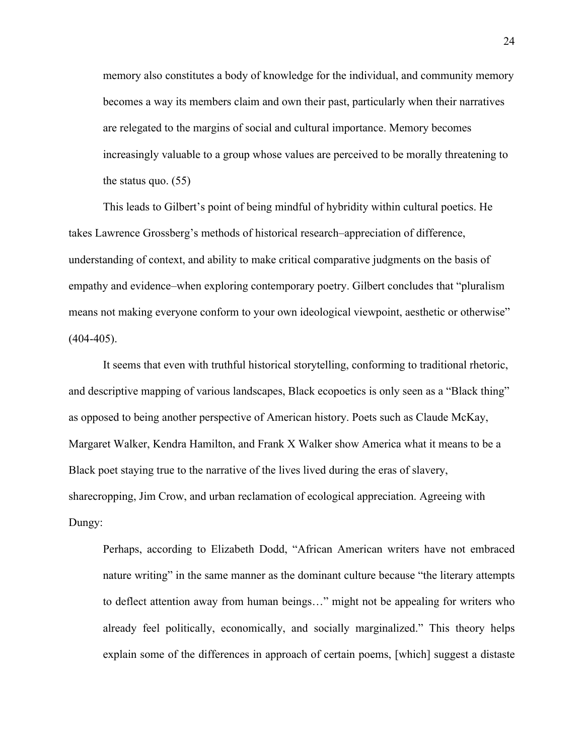memory also constitutes a body of knowledge for the individual, and community memory becomes a way its members claim and own their past, particularly when their narratives are relegated to the margins of social and cultural importance. Memory becomes increasingly valuable to a group whose values are perceived to be morally threatening to the status quo. (55)

This leads to Gilbert's point of being mindful of hybridity within cultural poetics. He takes Lawrence Grossberg's methods of historical research–appreciation of difference, understanding of context, and ability to make critical comparative judgments on the basis of empathy and evidence–when exploring contemporary poetry. Gilbert concludes that "pluralism means not making everyone conform to your own ideological viewpoint, aesthetic or otherwise"  $(404-405)$ .

It seems that even with truthful historical storytelling, conforming to traditional rhetoric, and descriptive mapping of various landscapes, Black ecopoetics is only seen as a "Black thing" as opposed to being another perspective of American history. Poets such as Claude McKay, Margaret Walker, Kendra Hamilton, and Frank X Walker show America what it means to be a Black poet staying true to the narrative of the lives lived during the eras of slavery, sharecropping, Jim Crow, and urban reclamation of ecological appreciation. Agreeing with Dungy:

Perhaps, according to Elizabeth Dodd, "African American writers have not embraced nature writing" in the same manner as the dominant culture because "the literary attempts to deflect attention away from human beings…" might not be appealing for writers who already feel politically, economically, and socially marginalized." This theory helps explain some of the differences in approach of certain poems, [which] suggest a distaste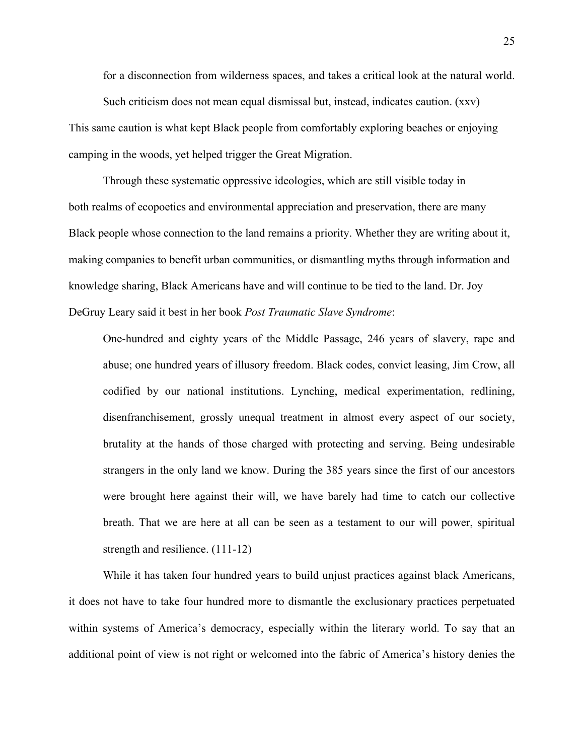for a disconnection from wilderness spaces, and takes a critical look at the natural world.

Such criticism does not mean equal dismissal but, instead, indicates caution. (xxv) This same caution is what kept Black people from comfortably exploring beaches or enjoying camping in the woods, yet helped trigger the Great Migration.

Through these systematic oppressive ideologies, which are still visible today in both realms of ecopoetics and environmental appreciation and preservation, there are many Black people whose connection to the land remains a priority. Whether they are writing about it, making companies to benefit urban communities, or dismantling myths through information and knowledge sharing, Black Americans have and will continue to be tied to the land. Dr. Joy DeGruy Leary said it best in her book *Post Traumatic Slave Syndrome*:

One-hundred and eighty years of the Middle Passage, 246 years of slavery, rape and abuse; one hundred years of illusory freedom. Black codes, convict leasing, Jim Crow, all codified by our national institutions. Lynching, medical experimentation, redlining, disenfranchisement, grossly unequal treatment in almost every aspect of our society, brutality at the hands of those charged with protecting and serving. Being undesirable strangers in the only land we know. During the 385 years since the first of our ancestors were brought here against their will, we have barely had time to catch our collective breath. That we are here at all can be seen as a testament to our will power, spiritual strength and resilience. (111-12)

While it has taken four hundred years to build unjust practices against black Americans, it does not have to take four hundred more to dismantle the exclusionary practices perpetuated within systems of America's democracy, especially within the literary world. To say that an additional point of view is not right or welcomed into the fabric of America's history denies the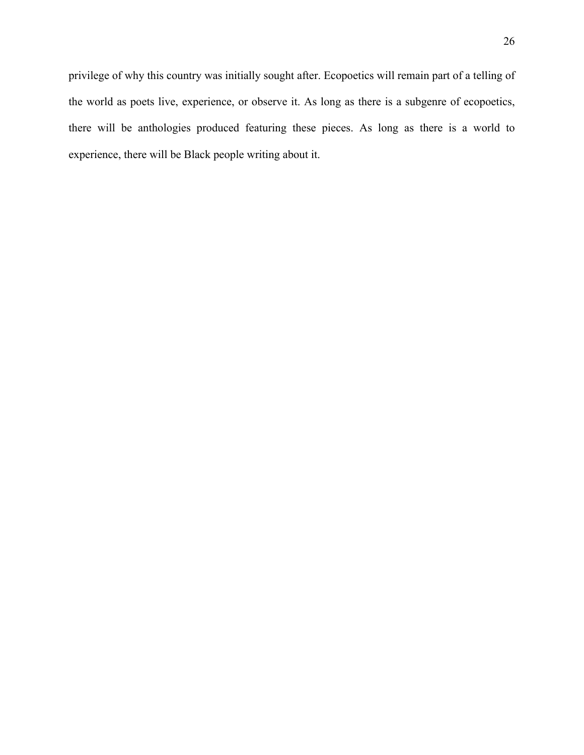privilege of why this country was initially sought after. Ecopoetics will remain part of a telling of the world as poets live, experience, or observe it. As long as there is a subgenre of ecopoetics, there will be anthologies produced featuring these pieces. As long as there is a world to experience, there will be Black people writing about it.